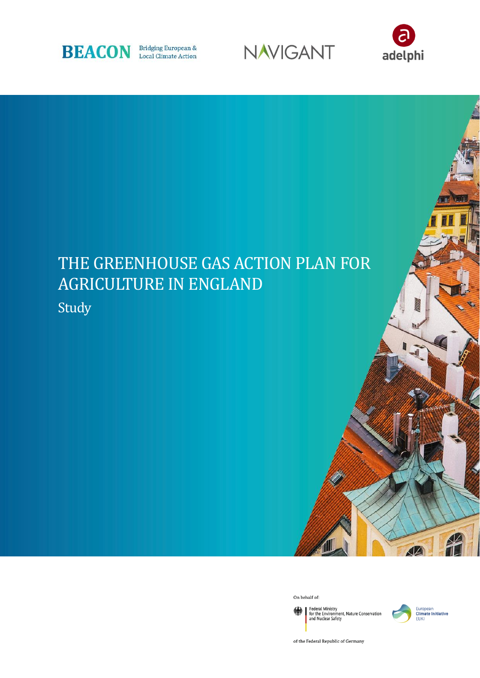





# THE GREENHOUSE GAS ACTION PLAN FOR AGRICULTURE IN ENGLAND Study

On behalf of:

Federal Ministry<br>for the Environment, Nature Conservation<br>and Nuclear Safety 绿



of the Federal Republic of Germany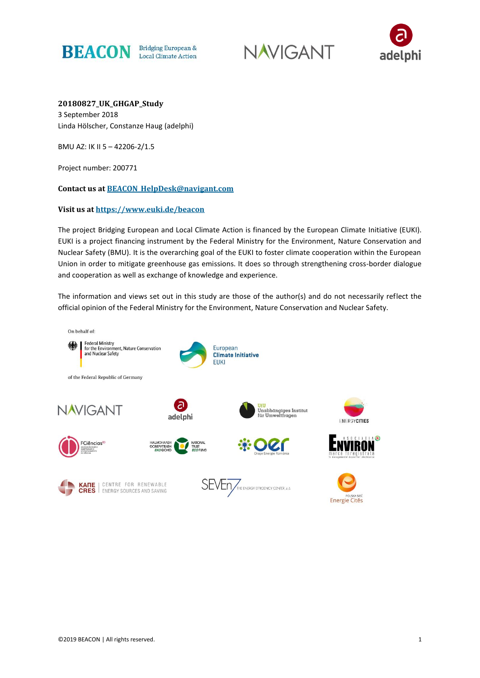





**20180827\_UK\_GHGAP\_Study** 3 September 2018 Linda Hölscher, Constanze Haug (adelphi)

BMU AZ: IK II 5 – 42206-2/1.5

Project number: 200771

**Contact us at [BEACON\\_HelpDesk@navigant.com](mailto:BEACON_HelpDesk@navigant.com)**

#### **Visit us at<https://www.euki.de/beacon>**

The project Bridging European and Local Climate Action is financed by the European Climate Initiative (EUKI). EUKI is a project financing instrument by the Federal Ministry for the Environment, Nature Conservation and Nuclear Safety (BMU). It is the overarching goal of the EUKI to foster climate cooperation within the European Union in order to mitigate greenhouse gas emissions. It does so through strengthening cross-border dialogue and cooperation as well as exchange of knowledge and experience.

The information and views set out in this study are those of the author(s) and do not necessarily reflect the official opinion of the Federal Ministry for the Environment, Nature Conservation and Nuclear Safety.

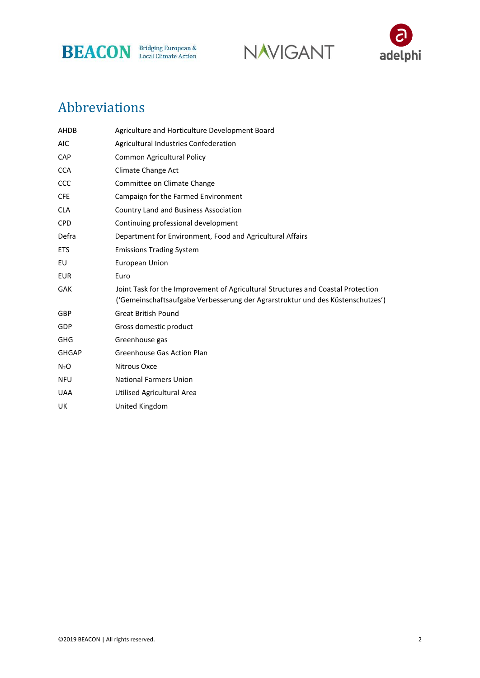





### Abbreviations

| AHDB             | Agriculture and Horticulture Development Board                                                                                                                     |  |
|------------------|--------------------------------------------------------------------------------------------------------------------------------------------------------------------|--|
| <b>AIC</b>       | Agricultural Industries Confederation                                                                                                                              |  |
| <b>CAP</b>       | Common Agricultural Policy                                                                                                                                         |  |
| <b>CCA</b>       | Climate Change Act                                                                                                                                                 |  |
| CCC              | Committee on Climate Change                                                                                                                                        |  |
| <b>CFE</b>       | Campaign for the Farmed Environment                                                                                                                                |  |
| <b>CLA</b>       | Country Land and Business Association                                                                                                                              |  |
| <b>CPD</b>       | Continuing professional development                                                                                                                                |  |
| Defra            | Department for Environment, Food and Agricultural Affairs                                                                                                          |  |
| <b>ETS</b>       | <b>Emissions Trading System</b>                                                                                                                                    |  |
| EU               | <b>European Union</b>                                                                                                                                              |  |
| <b>EUR</b>       | Euro                                                                                                                                                               |  |
| <b>GAK</b>       | Joint Task for the Improvement of Agricultural Structures and Coastal Protection<br>('Gemeinschaftsaufgabe Verbesserung der Agrarstruktur und des Küstenschutzes') |  |
| GBP              | <b>Great British Pound</b>                                                                                                                                         |  |
| GDP              | Gross domestic product                                                                                                                                             |  |
| <b>GHG</b>       | Greenhouse gas                                                                                                                                                     |  |
| <b>GHGAP</b>     | <b>Greenhouse Gas Action Plan</b>                                                                                                                                  |  |
| N <sub>2</sub> O | Nitrous Oxce                                                                                                                                                       |  |
| <b>NFU</b>       | <b>National Farmers Union</b>                                                                                                                                      |  |
| <b>UAA</b>       | Utilised Agricultural Area                                                                                                                                         |  |
| UK               | United Kingdom                                                                                                                                                     |  |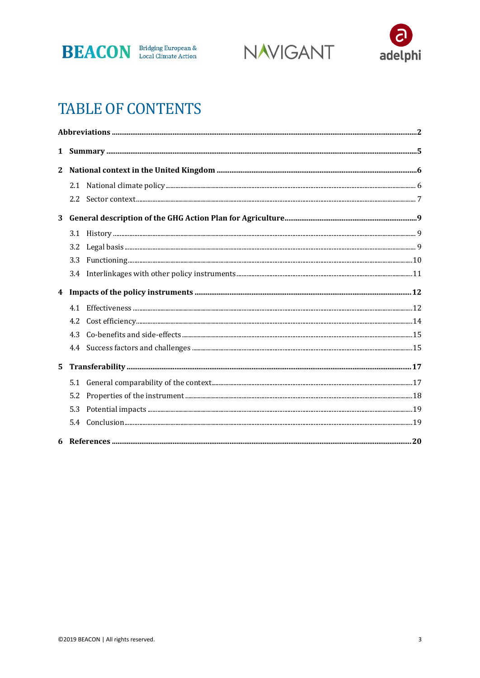





### **TABLE OF CONTENTS**

| $\mathbf{2}$ |     |  |  |  |
|--------------|-----|--|--|--|
|              |     |  |  |  |
|              |     |  |  |  |
| 3            |     |  |  |  |
|              | 3.1 |  |  |  |
|              | 3.2 |  |  |  |
|              | 3.3 |  |  |  |
|              |     |  |  |  |
|              |     |  |  |  |
|              |     |  |  |  |
|              | 4.2 |  |  |  |
|              |     |  |  |  |
|              |     |  |  |  |
| 5            |     |  |  |  |
|              |     |  |  |  |
|              | 5.2 |  |  |  |
|              | 5.3 |  |  |  |
|              | 5.4 |  |  |  |
|              |     |  |  |  |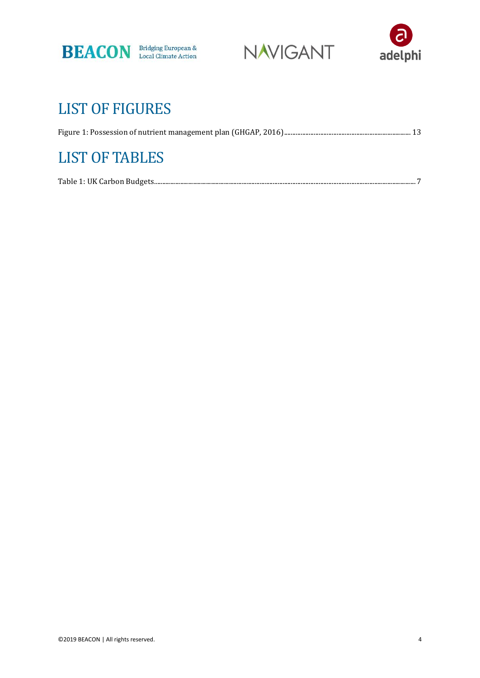





## LIST OF FIGURES

| <b>LIST OF TABLES</b> |  |
|-----------------------|--|
|                       |  |
|                       |  |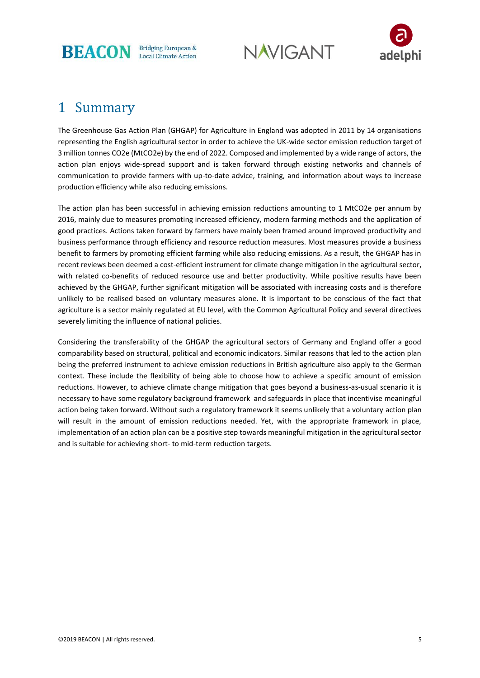

**NAVIGANT** 



### 1 Summary

The Greenhouse Gas Action Plan (GHGAP) for Agriculture in England was adopted in 2011 by 14 organisations representing the English agricultural sector in order to achieve the UK-wide sector emission reduction target of 3 million tonnes CO2e (MtCO2e) by the end of 2022. Composed and implemented by a wide range of actors, the action plan enjoys wide-spread support and is taken forward through existing networks and channels of communication to provide farmers with up-to-date advice, training, and information about ways to increase production efficiency while also reducing emissions.

The action plan has been successful in achieving emission reductions amounting to 1 MtCO2e per annum by 2016, mainly due to measures promoting increased efficiency, modern farming methods and the application of good practices. Actions taken forward by farmers have mainly been framed around improved productivity and business performance through efficiency and resource reduction measures. Most measures provide a business benefit to farmers by promoting efficient farming while also reducing emissions. As a result, the GHGAP has in recent reviews been deemed a cost-efficient instrument for climate change mitigation in the agricultural sector, with related co-benefits of reduced resource use and better productivity. While positive results have been achieved by the GHGAP, further significant mitigation will be associated with increasing costs and is therefore unlikely to be realised based on voluntary measures alone. It is important to be conscious of the fact that agriculture is a sector mainly regulated at EU level, with the Common Agricultural Policy and several directives severely limiting the influence of national policies.

Considering the transferability of the GHGAP the agricultural sectors of Germany and England offer a good comparability based on structural, political and economic indicators. Similar reasons that led to the action plan being the preferred instrument to achieve emission reductions in British agriculture also apply to the German context. These include the flexibility of being able to choose how to achieve a specific amount of emission reductions. However, to achieve climate change mitigation that goes beyond a business-as-usual scenario it is necessary to have some regulatory background framework and safeguards in place that incentivise meaningful action being taken forward. Without such a regulatory framework it seems unlikely that a voluntary action plan will result in the amount of emission reductions needed. Yet, with the appropriate framework in place, implementation of an action plan can be a positive step towards meaningful mitigation in the agricultural sector and is suitable for achieving short- to mid-term reduction targets.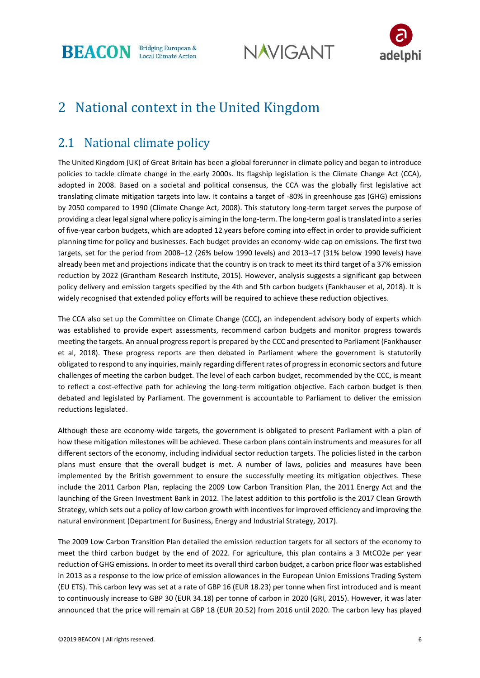



### 2 National context in the United Kingdom

### 2.1 National climate policy

The United Kingdom (UK) of Great Britain has been a global forerunner in climate policy and began to introduce policies to tackle climate change in the early 2000s. Its flagship legislation is the Climate Change Act (CCA), adopted in 2008. Based on a societal and political consensus, the CCA was the globally first legislative act translating climate mitigation targets into law. It contains a target of -80% in greenhouse gas (GHG) emissions by 2050 compared to 1990 (Climate Change Act, 2008). This statutory long-term target serves the purpose of providing a clear legal signal where policy is aiming in the long-term. The long-term goal is translated into a series of five-year carbon budgets, which are adopted 12 years before coming into effect in order to provide sufficient planning time for policy and businesses. Each budget provides an economy-wide cap on emissions. The first two targets, set for the period from 2008–12 (26% below 1990 levels) and 2013–17 (31% below 1990 levels) have already been met and projections indicate that the country is on track to meet its third target of a 37% emission reduction by 2022 (Grantham Research Institute, 2015). However, analysis suggests a significant gap between policy delivery and emission targets specified by the 4th and 5th carbon budgets (Fankhauser et al, 2018). It is widely recognised that extended policy efforts will be required to achieve these reduction objectives.

The CCA also set up the Committee on Climate Change (CCC), an independent advisory body of experts which was established to provide expert assessments, recommend carbon budgets and monitor progress towards meeting the targets. An annual progress report is prepared by the CCC and presented to Parliament (Fankhauser et al, 2018). These progress reports are then debated in Parliament where the government is statutorily obligated to respond to any inquiries, mainly regarding different rates of progress in economic sectors and future challenges of meeting the carbon budget. The level of each carbon budget, recommended by the CCC, is meant to reflect a cost-effective path for achieving the long-term mitigation objective. Each carbon budget is then debated and legislated by Parliament. The government is accountable to Parliament to deliver the emission reductions legislated.

Although these are economy-wide targets, the government is obligated to present Parliament with a plan of how these mitigation milestones will be achieved. These carbon plans contain instruments and measures for all different sectors of the economy, including individual sector reduction targets. The policies listed in the carbon plans must ensure that the overall budget is met. A number of laws, policies and measures have been implemented by the British government to ensure the successfully meeting its mitigation objectives. These include the 2011 Carbon Plan, replacing the 2009 Low Carbon Transition Plan, the 2011 Energy Act and the launching of the Green Investment Bank in 2012. The latest addition to this portfolio is the 2017 Clean Growth Strategy, which sets out a policy of low carbon growth with incentives for improved efficiency and improving the natural environment (Department for Business, Energy and Industrial Strategy, 2017).

The 2009 Low Carbon Transition Plan detailed the emission reduction targets for all sectors of the economy to meet the third carbon budget by the end of 2022. For agriculture, this plan contains a 3 MtCO2e per year reduction of GHG emissions. In order to meet its overall third carbon budget, a carbon price floor was established in 2013 as a response to the low price of emission allowances in the European Union Emissions Trading System (EU ETS). This carbon levy was set at a rate of GBP 16 (EUR 18.23) per tonne when first introduced and is meant to continuously increase to GBP 30 (EUR 34.18) per tonne of carbon in 2020 (GRI, 2015). However, it was later announced that the price will remain at GBP 18 (EUR 20.52) from 2016 until 2020. The carbon levy has played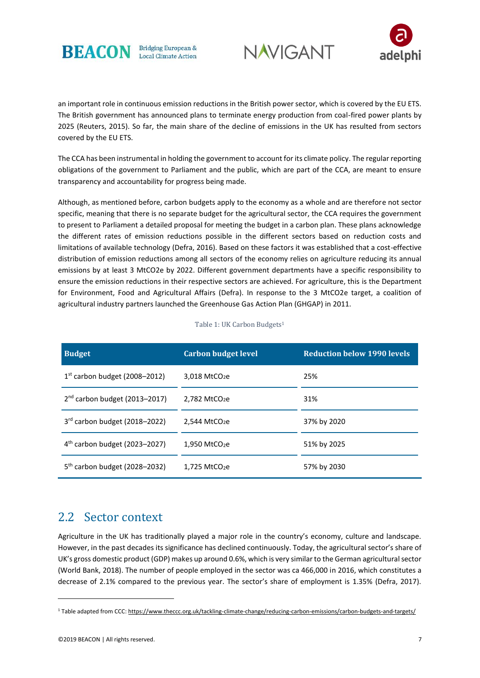





an important role in continuous emission reductions in the British power sector, which is covered by the EU ETS. The British government has announced plans to terminate energy production from coal-fired power plants by 2025 (Reuters, 2015). So far, the main share of the decline of emissions in the UK has resulted from sectors covered by the EU ETS.

The CCA has been instrumental in holding the government to account for its climate policy. The regular reporting obligations of the government to Parliament and the public, which are part of the CCA, are meant to ensure transparency and accountability for progress being made.

Although, as mentioned before, carbon budgets apply to the economy as a whole and are therefore not sector specific, meaning that there is no separate budget for the agricultural sector, the CCA requires the government to present to Parliament a detailed proposal for meeting the budget in a carbon plan. These plans acknowledge the different rates of emission reductions possible in the different sectors based on reduction costs and limitations of available technology (Defra, 2016). Based on these factors it was established that a cost-effective distribution of emission reductions among all sectors of the economy relies on agriculture reducing its annual emissions by at least 3 MtCO2e by 2022. Different government departments have a specific responsibility to ensure the emission reductions in their respective sectors are achieved. For agriculture, this is the Department for Environment, Food and Agricultural Affairs (Defra). In response to the 3 MtCO2e target, a coalition of agricultural industry partners launched the Greenhouse Gas Action Plan (GHGAP) in 2011.

<span id="page-7-0"></span>

| <b>Budget</b>                   | <b>Carbon budget level</b>  | <b>Reduction below 1990 levels</b> |
|---------------------------------|-----------------------------|------------------------------------|
| $1st$ carbon budget (2008–2012) | $3,018$ MtCO <sub>2</sub> e | 25%                                |
| $2nd$ carbon budget (2013-2017) | $2,782$ MtCO <sub>2</sub> e | 31%                                |
| 3rd carbon budget (2018-2022)   | $2,544$ MtCO <sub>2</sub> e | 37% by 2020                        |
| $4th$ carbon budget (2023-2027) | 1.950 MtCO <sub>2</sub> e   | 51% by 2025                        |
| $5th$ carbon budget (2028-2032) | $1.725$ MtCO <sub>2</sub> e | 57% by 2030                        |

Table 1: UK Carbon Budgets<sup>1</sup>

#### 2.2 Sector context

Agriculture in the UK has traditionally played a major role in the country's economy, culture and landscape. However, in the past decades its significance has declined continuously. Today, the agricultural sector's share of UK's gross domestic product (GDP) makes up around 0.6%, which is very similar to the German agricultural sector (World Bank, 2018). The number of people employed in the sector was ca 466,000 in 2016, which constitutes a decrease of 2.1% compared to the previous year. The sector's share of employment is 1.35% (Defra, 2017).

1

<sup>1</sup> Table adapted from CCC[: https://www.theccc.org.uk/tackling-climate-change/reducing-carbon-emissions/carbon-budgets-and-targets/](https://www.theccc.org.uk/tackling-climate-change/reducing-carbon-emissions/carbon-budgets-and-targets/)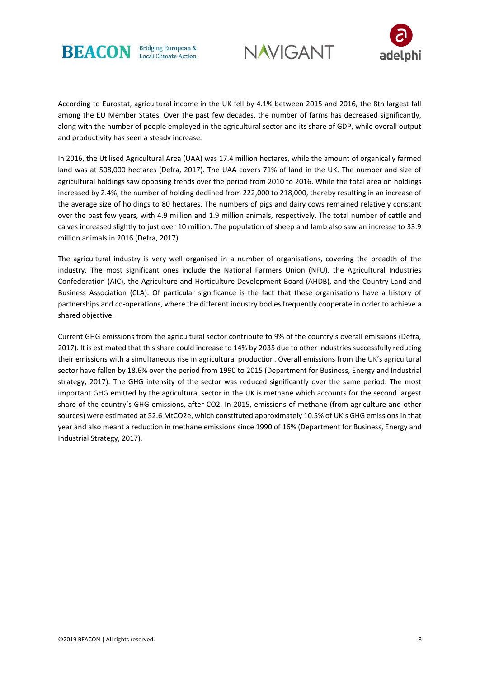





According to Eurostat, agricultural income in the UK fell by 4.1% between 2015 and 2016, the 8th largest fall among the EU Member States. Over the past few decades, the number of farms has decreased significantly, along with the number of people employed in the agricultural sector and its share of GDP, while overall output and productivity has seen a steady increase.

In 2016, the Utilised Agricultural Area (UAA) was 17.4 million hectares, while the amount of organically farmed land was at 508,000 hectares (Defra, 2017). The UAA covers 71% of land in the UK. The number and size of agricultural holdings saw opposing trends over the period from 2010 to 2016. While the total area on holdings increased by 2.4%, the number of holding declined from 222,000 to 218,000, thereby resulting in an increase of the average size of holdings to 80 hectares. The numbers of pigs and dairy cows remained relatively constant over the past few years, with 4.9 million and 1.9 million animals, respectively. The total number of cattle and calves increased slightly to just over 10 million. The population of sheep and lamb also saw an increase to 33.9 million animals in 2016 (Defra, 2017).

The agricultural industry is very well organised in a number of organisations, covering the breadth of the industry. The most significant ones include the National Farmers Union (NFU), the Agricultural Industries Confederation (AIC), the Agriculture and Horticulture Development Board (AHDB), and the Country Land and Business Association (CLA). Of particular significance is the fact that these organisations have a history of partnerships and co-operations, where the different industry bodies frequently cooperate in order to achieve a shared objective.

Current GHG emissions from the agricultural sector contribute to 9% of the country's overall emissions (Defra, 2017). It is estimated that this share could increase to 14% by 2035 due to other industries successfully reducing their emissions with a simultaneous rise in agricultural production. Overall emissions from the UK's agricultural sector have fallen by 18.6% over the period from 1990 to 2015 (Department for Business, Energy and Industrial strategy, 2017). The GHG intensity of the sector was reduced significantly over the same period. The most important GHG emitted by the agricultural sector in the UK is methane which accounts for the second largest share of the country's GHG emissions, after CO2. In 2015, emissions of methane (from agriculture and other sources) were estimated at 52.6 MtCO2e, which constituted approximately 10.5% of UK's GHG emissions in that year and also meant a reduction in methane emissions since 1990 of 16% (Department for Business, Energy and Industrial Strategy, 2017).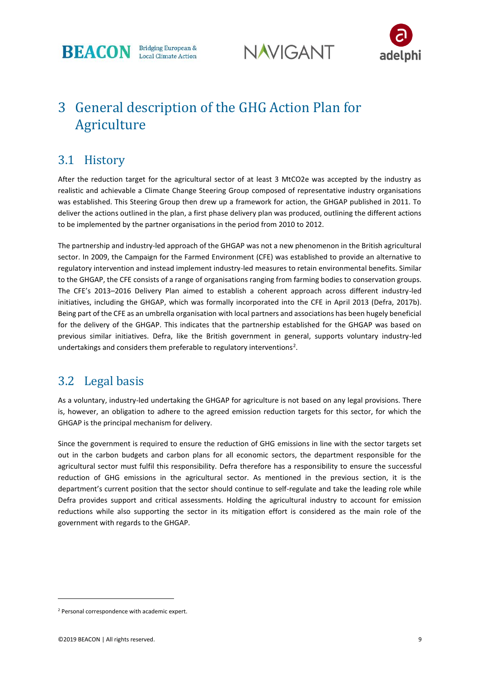





### 3 General description of the GHG Action Plan for Agriculture

#### 3.1 History

After the reduction target for the agricultural sector of at least 3 MtCO2e was accepted by the industry as realistic and achievable a Climate Change Steering Group composed of representative industry organisations was established. This Steering Group then drew up a framework for action, the GHGAP published in 2011. To deliver the actions outlined in the plan, a first phase delivery plan was produced, outlining the different actions to be implemented by the partner organisations in the period from 2010 to 2012.

The partnership and industry-led approach of the GHGAP was not a new phenomenon in the British agricultural sector. In 2009, the Campaign for the Farmed Environment (CFE) was established to provide an alternative to regulatory intervention and instead implement industry-led measures to retain environmental benefits. Similar to the GHGAP, the CFE consists of a range of organisations ranging from farming bodies to conservation groups. The CFE's 2013–2016 Delivery Plan aimed to establish a coherent approach across different industry-led initiatives, including the GHGAP, which was formally incorporated into the CFE in April 2013 (Defra, 2017b). Being part of the CFE as an umbrella organisation with local partners and associations has been hugely beneficial for the delivery of the GHGAP. This indicates that the partnership established for the GHGAP was based on previous similar initiatives. Defra, like the British government in general, supports voluntary industry-led undertakings and considers them preferable to regulatory interventions<sup>2</sup>.

#### 3.2 Legal basis

As a voluntary, industry-led undertaking the GHGAP for agriculture is not based on any legal provisions. There is, however, an obligation to adhere to the agreed emission reduction targets for this sector, for which the GHGAP is the principal mechanism for delivery.

Since the government is required to ensure the reduction of GHG emissions in line with the sector targets set out in the carbon budgets and carbon plans for all economic sectors, the department responsible for the agricultural sector must fulfil this responsibility. Defra therefore has a responsibility to ensure the successful reduction of GHG emissions in the agricultural sector. As mentioned in the previous section, it is the department's current position that the sector should continue to self-regulate and take the leading role while Defra provides support and critical assessments. Holding the agricultural industry to account for emission reductions while also supporting the sector in its mitigation effort is considered as the main role of the government with regards to the GHGAP.

1

<sup>2</sup> Personal correspondence with academic expert.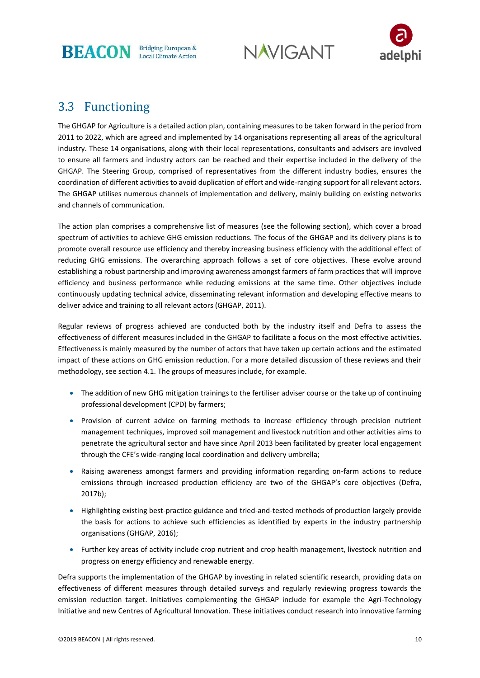



#### 3.3 Functioning

The GHGAP for Agriculture is a detailed action plan, containing measures to be taken forward in the period from 2011 to 2022, which are agreed and implemented by 14 organisations representing all areas of the agricultural industry. These 14 organisations, along with their local representations, consultants and advisers are involved to ensure all farmers and industry actors can be reached and their expertise included in the delivery of the GHGAP. The Steering Group, comprised of representatives from the different industry bodies, ensures the coordination of different activities to avoid duplication of effort and wide-ranging support for all relevant actors. The GHGAP utilises numerous channels of implementation and delivery, mainly building on existing networks and channels of communication.

The action plan comprises a comprehensive list of measures (see the following section), which cover a broad spectrum of activities to achieve GHG emission reductions. The focus of the GHGAP and its delivery plans is to promote overall resource use efficiency and thereby increasing business efficiency with the additional effect of reducing GHG emissions. The overarching approach follows a set of core objectives. These evolve around establishing a robust partnership and improving awareness amongst farmers of farm practices that will improve efficiency and business performance while reducing emissions at the same time. Other objectives include continuously updating technical advice, disseminating relevant information and developing effective means to deliver advice and training to all relevant actors (GHGAP, 2011).

Regular reviews of progress achieved are conducted both by the industry itself and Defra to assess the effectiveness of different measures included in the GHGAP to facilitate a focus on the most effective activities. Effectiveness is mainly measured by the number of actors that have taken up certain actions and the estimated impact of these actions on GHG emission reduction. For a more detailed discussion of these reviews and their methodology, see section 4.1. The groups of measures include, for example.

- The addition of new GHG mitigation trainings to the fertiliser adviser course or the take up of continuing professional development (CPD) by farmers;
- Provision of current advice on farming methods to increase efficiency through precision nutrient management techniques, improved soil management and livestock nutrition and other activities aims to penetrate the agricultural sector and have since April 2013 been facilitated by greater local engagement through the CFE's wide-ranging local coordination and delivery umbrella;
- Raising awareness amongst farmers and providing information regarding on-farm actions to reduce emissions through increased production efficiency are two of the GHGAP's core objectives (Defra, 2017b);
- Highlighting existing best-practice guidance and tried-and-tested methods of production largely provide the basis for actions to achieve such efficiencies as identified by experts in the industry partnership organisations (GHGAP, 2016);
- Further key areas of activity include crop nutrient and crop health management, livestock nutrition and progress on energy efficiency and renewable energy.

Defra supports the implementation of the GHGAP by investing in related scientific research, providing data on effectiveness of different measures through detailed surveys and regularly reviewing progress towards the emission reduction target. Initiatives complementing the GHGAP include for example the Agri-Technology Initiative and new Centres of Agricultural Innovation. These initiatives conduct research into innovative farming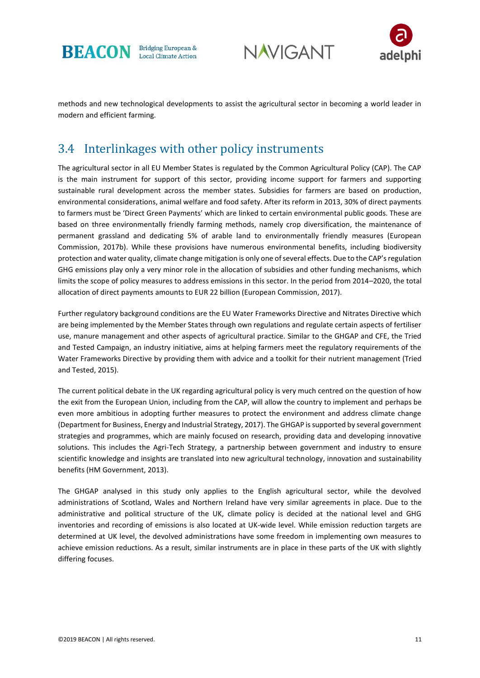





methods and new technological developments to assist the agricultural sector in becoming a world leader in modern and efficient farming.

#### 3.4 Interlinkages with other policy instruments

The agricultural sector in all EU Member States is regulated by the Common Agricultural Policy (CAP). The CAP is the main instrument for support of this sector, providing income support for farmers and supporting sustainable rural development across the member states. Subsidies for farmers are based on production, environmental considerations, animal welfare and food safety. After its reform in 2013, 30% of direct payments to farmers must be 'Direct Green Payments' which are linked to certain environmental public goods. These are based on three environmentally friendly farming methods, namely crop diversification, the maintenance of permanent grassland and dedicating 5% of arable land to environmentally friendly measures (European Commission, 2017b). While these provisions have numerous environmental benefits, including biodiversity protection and water quality, climate change mitigation is only one of several effects. Due to the CAP's regulation GHG emissions play only a very minor role in the allocation of subsidies and other funding mechanisms, which limits the scope of policy measures to address emissions in this sector. In the period from 2014–2020, the total allocation of direct payments amounts to EUR 22 billion (European Commission, 2017).

Further regulatory background conditions are the EU Water Frameworks Directive and Nitrates Directive which are being implemented by the Member States through own regulations and regulate certain aspects of fertiliser use, manure management and other aspects of agricultural practice. Similar to the GHGAP and CFE, the Tried and Tested Campaign, an industry initiative, aims at helping farmers meet the regulatory requirements of the Water Frameworks Directive by providing them with advice and a toolkit for their nutrient management (Tried and Tested, 2015).

The current political debate in the UK regarding agricultural policy is very much centred on the question of how the exit from the European Union, including from the CAP, will allow the country to implement and perhaps be even more ambitious in adopting further measures to protect the environment and address climate change (Department for Business, Energy and Industrial Strategy, 2017). The GHGAP is supported by several government strategies and programmes, which are mainly focused on research, providing data and developing innovative solutions. This includes the Agri-Tech Strategy, a partnership between government and industry to ensure scientific knowledge and insights are translated into new agricultural technology, innovation and sustainability benefits (HM Government, 2013).

The GHGAP analysed in this study only applies to the English agricultural sector, while the devolved administrations of Scotland, Wales and Northern Ireland have very similar agreements in place. Due to the administrative and political structure of the UK, climate policy is decided at the national level and GHG inventories and recording of emissions is also located at UK-wide level. While emission reduction targets are determined at UK level, the devolved administrations have some freedom in implementing own measures to achieve emission reductions. As a result, similar instruments are in place in these parts of the UK with slightly differing focuses.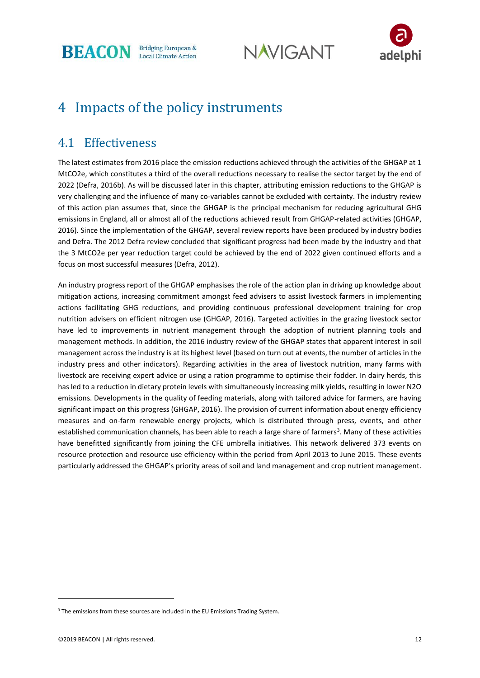**NAVIGANT** 



### 4 Impacts of the policy instruments

#### 4.1 Effectiveness

The latest estimates from 2016 place the emission reductions achieved through the activities of the GHGAP at 1 MtCO2e, which constitutes a third of the overall reductions necessary to realise the sector target by the end of 2022 (Defra, 2016b). As will be discussed later in this chapter, attributing emission reductions to the GHGAP is very challenging and the influence of many co-variables cannot be excluded with certainty. The industry review of this action plan assumes that, since the GHGAP is the principal mechanism for reducing agricultural GHG emissions in England, all or almost all of the reductions achieved result from GHGAP-related activities (GHGAP, 2016). Since the implementation of the GHGAP, several review reports have been produced by industry bodies and Defra. The 2012 Defra review concluded that significant progress had been made by the industry and that the 3 MtCO2e per year reduction target could be achieved by the end of 2022 given continued efforts and a focus on most successful measures (Defra, 2012).

An industry progress report of the GHGAP emphasises the role of the action plan in driving up knowledge about mitigation actions, increasing commitment amongst feed advisers to assist livestock farmers in implementing actions facilitating GHG reductions, and providing continuous professional development training for crop nutrition advisers on efficient nitrogen use (GHGAP, 2016). Targeted activities in the grazing livestock sector have led to improvements in nutrient management through the adoption of nutrient planning tools and management methods. In addition, the 2016 industry review of the GHGAP states that apparent interest in soil management across the industry is at its highest level (based on turn out at events, the number of articles in the industry press and other indicators). Regarding activities in the area of livestock nutrition, many farms with livestock are receiving expert advice or using a ration programme to optimise their fodder. In dairy herds, this has led to a reduction in dietary protein levels with simultaneously increasing milk yields, resulting in lower N2O emissions. Developments in the quality of feeding materials, along with tailored advice for farmers, are having significant impact on this progress (GHGAP, 2016). The provision of current information about energy efficiency measures and on-farm renewable energy projects, which is distributed through press, events, and other established communication channels, has been able to reach a large share of farmers<sup>3</sup>. Many of these activities have benefitted significantly from joining the CFE umbrella initiatives. This network delivered 373 events on resource protection and resource use efficiency within the period from April 2013 to June 2015. These events particularly addressed the GHGAP's priority areas of soil and land management and crop nutrient management.

1

<sup>&</sup>lt;sup>3</sup> The emissions from these sources are included in the EU Emissions Trading System.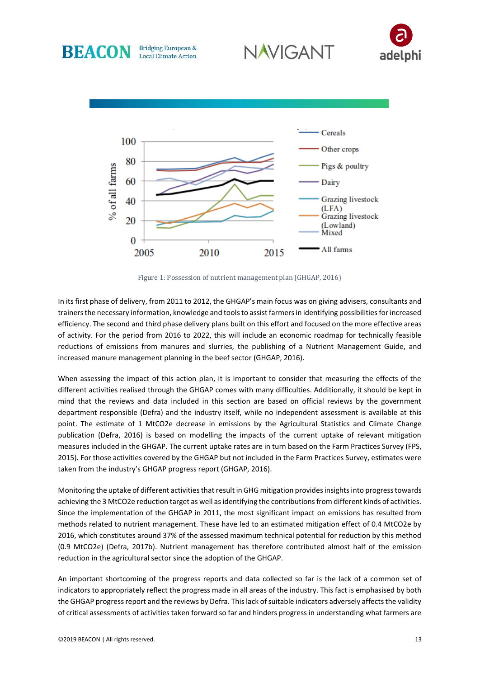





**Bridging European &** 

**Local Climate Action** 

**BEACON** 

Figure 1: Possession of nutrient management plan (GHGAP, 2016)

In its first phase of delivery, from 2011 to 2012, the GHGAP's main focus was on giving advisers, consultants and trainers the necessary information, knowledge and tools to assist farmers in identifying possibilities for increased efficiency. The second and third phase delivery plans built on this effort and focused on the more effective areas of activity. For the period from 2016 to 2022, this will include an economic roadmap for technically feasible reductions of emissions from manures and slurries, the publishing of a Nutrient Management Guide, and increased manure management planning in the beef sector (GHGAP, 2016).

When assessing the impact of this action plan, it is important to consider that measuring the effects of the different activities realised through the GHGAP comes with many difficulties. Additionally, it should be kept in mind that the reviews and data included in this section are based on official reviews by the government department responsible (Defra) and the industry itself, while no independent assessment is available at this point. The estimate of 1 MtCO2e decrease in emissions by the Agricultural Statistics and Climate Change publication (Defra, 2016) is based on modelling the impacts of the current uptake of relevant mitigation measures included in the GHGAP. The current uptake rates are in turn based on the Farm Practices Survey (FPS, 2015). For those activities covered by the GHGAP but not included in the Farm Practices Survey, estimates were taken from the industry's GHGAP progress report (GHGAP, 2016).

Monitoring the uptake of different activities that result in GHG mitigation provides insights into progress towards achieving the 3 MtCO2e reduction target as well as identifying the contributions from different kinds of activities. Since the implementation of the GHGAP in 2011, the most significant impact on emissions has resulted from methods related to nutrient management. These have led to an estimated mitigation effect of 0.4 MtCO2e by 2016, which constitutes around 37% of the assessed maximum technical potential for reduction by this method (0.9 MtCO2e) (Defra, 2017b). Nutrient management has therefore contributed almost half of the emission reduction in the agricultural sector since the adoption of the GHGAP.

An important shortcoming of the progress reports and data collected so far is the lack of a common set of indicators to appropriately reflect the progress made in all areas of the industry. This fact is emphasised by both the GHGAP progress report and the reviews by Defra. This lack of suitable indicators adversely affects the validity of critical assessments of activities taken forward so far and hinders progress in understanding what farmers are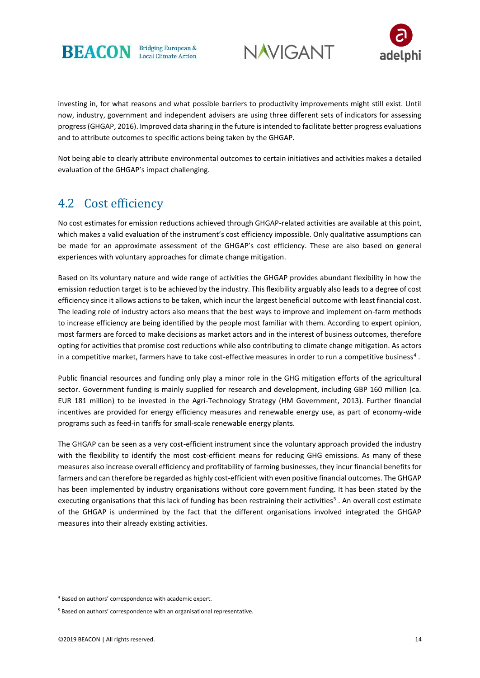





investing in, for what reasons and what possible barriers to productivity improvements might still exist. Until now, industry, government and independent advisers are using three different sets of indicators for assessing progress (GHGAP, 2016). Improved data sharing in the future is intended to facilitate better progress evaluations and to attribute outcomes to specific actions being taken by the GHGAP.

Not being able to clearly attribute environmental outcomes to certain initiatives and activities makes a detailed evaluation of the GHGAP's impact challenging.

#### 4.2 Cost efficiency

No cost estimates for emission reductions achieved through GHGAP-related activities are available at this point, which makes a valid evaluation of the instrument's cost efficiency impossible. Only qualitative assumptions can be made for an approximate assessment of the GHGAP's cost efficiency. These are also based on general experiences with voluntary approaches for climate change mitigation.

Based on its voluntary nature and wide range of activities the GHGAP provides abundant flexibility in how the emission reduction target is to be achieved by the industry. This flexibility arguably also leads to a degree of cost efficiency since it allows actions to be taken, which incur the largest beneficial outcome with least financial cost. The leading role of industry actors also means that the best ways to improve and implement on-farm methods to increase efficiency are being identified by the people most familiar with them. According to expert opinion, most farmers are forced to make decisions as market actors and in the interest of business outcomes, therefore opting for activities that promise cost reductions while also contributing to climate change mitigation. As actors in a competitive market, farmers have to take cost-effective measures in order to run a competitive business<sup>4</sup>.

Public financial resources and funding only play a minor role in the GHG mitigation efforts of the agricultural sector. Government funding is mainly supplied for research and development, including GBP 160 million (ca. EUR 181 million) to be invested in the Agri-Technology Strategy (HM Government, 2013). Further financial incentives are provided for energy efficiency measures and renewable energy use, as part of economy-wide programs such as feed-in tariffs for small-scale renewable energy plants.

The GHGAP can be seen as a very cost-efficient instrument since the voluntary approach provided the industry with the flexibility to identify the most cost-efficient means for reducing GHG emissions. As many of these measures also increase overall efficiency and profitability of farming businesses, they incur financial benefits for farmers and can therefore be regarded as highly cost-efficient with even positive financial outcomes. The GHGAP has been implemented by industry organisations without core government funding. It has been stated by the executing organisations that this lack of funding has been restraining their activities<sup>5</sup>. An overall cost estimate of the GHGAP is undermined by the fact that the different organisations involved integrated the GHGAP measures into their already existing activities.

**-**

<sup>4</sup> Based on authors' correspondence with academic expert.

<sup>5</sup> Based on authors' correspondence with an organisational representative.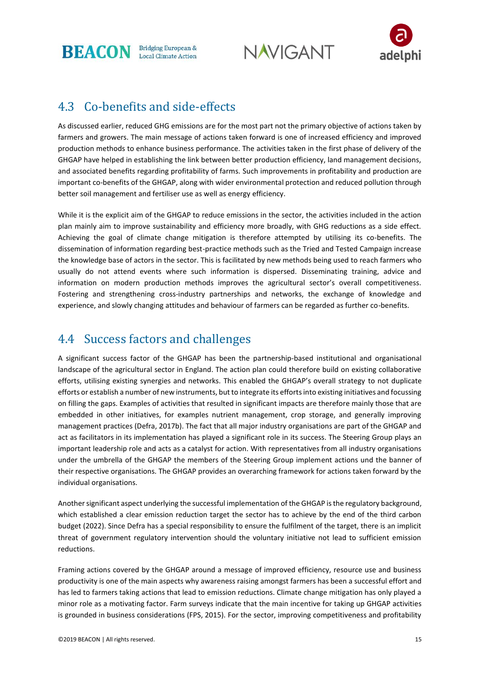**NAVIGANT** 



#### 4.3 Co-benefits and side-effects

As discussed earlier, reduced GHG emissions are for the most part not the primary objective of actions taken by farmers and growers. The main message of actions taken forward is one of increased efficiency and improved production methods to enhance business performance. The activities taken in the first phase of delivery of the GHGAP have helped in establishing the link between better production efficiency, land management decisions, and associated benefits regarding profitability of farms. Such improvements in profitability and production are important co-benefits of the GHGAP, along with wider environmental protection and reduced pollution through better soil management and fertiliser use as well as energy efficiency.

While it is the explicit aim of the GHGAP to reduce emissions in the sector, the activities included in the action plan mainly aim to improve sustainability and efficiency more broadly, with GHG reductions as a side effect. Achieving the goal of climate change mitigation is therefore attempted by utilising its co-benefits. The dissemination of information regarding best-practice methods such as the Tried and Tested Campaign increase the knowledge base of actors in the sector. This is facilitated by new methods being used to reach farmers who usually do not attend events where such information is dispersed. Disseminating training, advice and information on modern production methods improves the agricultural sector's overall competitiveness. Fostering and strengthening cross-industry partnerships and networks, the exchange of knowledge and experience, and slowly changing attitudes and behaviour of farmers can be regarded as further co-benefits.

#### 4.4 Success factors and challenges

A significant success factor of the GHGAP has been the partnership-based institutional and organisational landscape of the agricultural sector in England. The action plan could therefore build on existing collaborative efforts, utilising existing synergies and networks. This enabled the GHGAP's overall strategy to not duplicate efforts or establish a number of new instruments, but to integrate its efforts into existing initiatives and focussing on filling the gaps. Examples of activities that resulted in significant impacts are therefore mainly those that are embedded in other initiatives, for examples nutrient management, crop storage, and generally improving management practices (Defra, 2017b). The fact that all major industry organisations are part of the GHGAP and act as facilitators in its implementation has played a significant role in its success. The Steering Group plays an important leadership role and acts as a catalyst for action. With representatives from all industry organisations under the umbrella of the GHGAP the members of the Steering Group implement actions und the banner of their respective organisations. The GHGAP provides an overarching framework for actions taken forward by the individual organisations.

Another significant aspect underlying the successful implementation of the GHGAP is the regulatory background, which established a clear emission reduction target the sector has to achieve by the end of the third carbon budget (2022). Since Defra has a special responsibility to ensure the fulfilment of the target, there is an implicit threat of government regulatory intervention should the voluntary initiative not lead to sufficient emission reductions.

Framing actions covered by the GHGAP around a message of improved efficiency, resource use and business productivity is one of the main aspects why awareness raising amongst farmers has been a successful effort and has led to farmers taking actions that lead to emission reductions. Climate change mitigation has only played a minor role as a motivating factor. Farm surveys indicate that the main incentive for taking up GHGAP activities is grounded in business considerations (FPS, 2015). For the sector, improving competitiveness and profitability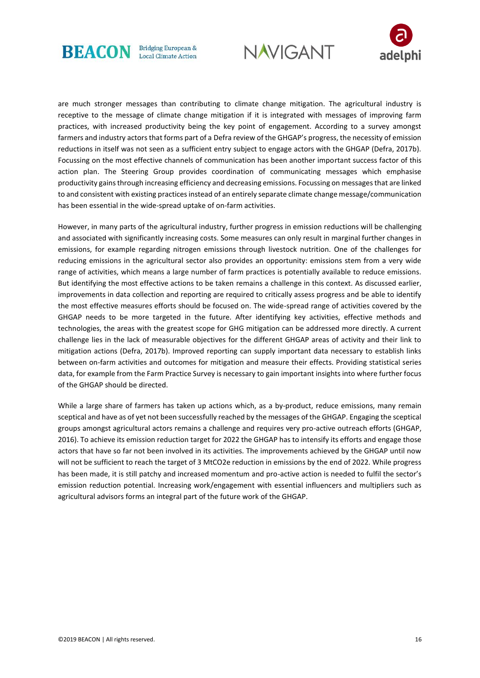





are much stronger messages than contributing to climate change mitigation. The agricultural industry is receptive to the message of climate change mitigation if it is integrated with messages of improving farm practices, with increased productivity being the key point of engagement. According to a survey amongst farmers and industry actors that forms part of a Defra review of the GHGAP's progress, the necessity of emission reductions in itself was not seen as a sufficient entry subject to engage actors with the GHGAP (Defra, 2017b). Focussing on the most effective channels of communication has been another important success factor of this action plan. The Steering Group provides coordination of communicating messages which emphasise productivity gains through increasing efficiency and decreasing emissions. Focussing on messages that are linked to and consistent with existing practices instead of an entirely separate climate change message/communication has been essential in the wide-spread uptake of on-farm activities.

However, in many parts of the agricultural industry, further progress in emission reductions will be challenging and associated with significantly increasing costs. Some measures can only result in marginal further changes in emissions, for example regarding nitrogen emissions through livestock nutrition. One of the challenges for reducing emissions in the agricultural sector also provides an opportunity: emissions stem from a very wide range of activities, which means a large number of farm practices is potentially available to reduce emissions. But identifying the most effective actions to be taken remains a challenge in this context. As discussed earlier, improvements in data collection and reporting are required to critically assess progress and be able to identify the most effective measures efforts should be focused on. The wide-spread range of activities covered by the GHGAP needs to be more targeted in the future. After identifying key activities, effective methods and technologies, the areas with the greatest scope for GHG mitigation can be addressed more directly. A current challenge lies in the lack of measurable objectives for the different GHGAP areas of activity and their link to mitigation actions (Defra, 2017b). Improved reporting can supply important data necessary to establish links between on-farm activities and outcomes for mitigation and measure their effects. Providing statistical series data, for example from the Farm Practice Survey is necessary to gain important insights into where further focus of the GHGAP should be directed.

While a large share of farmers has taken up actions which, as a by-product, reduce emissions, many remain sceptical and have as of yet not been successfully reached by the messages of the GHGAP. Engaging the sceptical groups amongst agricultural actors remains a challenge and requires very pro-active outreach efforts (GHGAP, 2016). To achieve its emission reduction target for 2022 the GHGAP has to intensify its efforts and engage those actors that have so far not been involved in its activities. The improvements achieved by the GHGAP until now will not be sufficient to reach the target of 3 MtCO2e reduction in emissions by the end of 2022. While progress has been made, it is still patchy and increased momentum and pro-active action is needed to fulfil the sector's emission reduction potential. Increasing work/engagement with essential influencers and multipliers such as agricultural advisors forms an integral part of the future work of the GHGAP.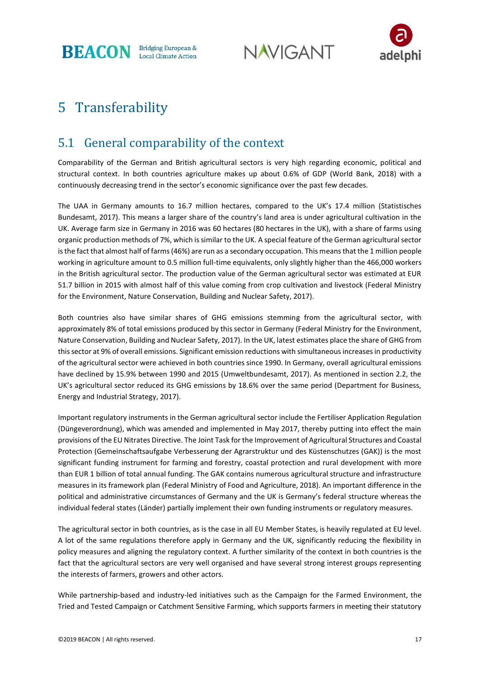**NAVIGANT** 



### 5 Transferability

#### 5.1 General comparability of the context

Comparability of the German and British agricultural sectors is very high regarding economic, political and structural context. In both countries agriculture makes up about 0.6% of GDP (World Bank, 2018) with a continuously decreasing trend in the sector's economic significance over the past few decades.

The UAA in Germany amounts to 16.7 million hectares, compared to the UK's 17.4 million (Statistisches Bundesamt, 2017). This means a larger share of the country's land area is under agricultural cultivation in the UK. Average farm size in Germany in 2016 was 60 hectares (80 hectares in the UK), with a share of farms using organic production methods of 7%, which is similar to the UK. A special feature of the German agricultural sector is the fact that almost half of farms (46%) are run as a secondary occupation. This means that the 1 million people working in agriculture amount to 0.5 million full-time equivalents, only slightly higher than the 466,000 workers in the British agricultural sector. The production value of the German agricultural sector was estimated at EUR 51.7 billion in 2015 with almost half of this value coming from crop cultivation and livestock (Federal Ministry for the Environment, Nature Conservation, Building and Nuclear Safety, 2017).

Both countries also have similar shares of GHG emissions stemming from the agricultural sector, with approximately 8% of total emissions produced by this sector in Germany (Federal Ministry for the Environment, Nature Conservation, Building and Nuclear Safety, 2017). In the UK, latest estimates place the share of GHG from this sector at 9% of overall emissions. Significant emission reductions with simultaneous increases in productivity of the agricultural sector were achieved in both countries since 1990. In Germany, overall agricultural emissions have declined by 15.9% between 1990 and 2015 (Umweltbundesamt, 2017). As mentioned in section 2.2, the UK's agricultural sector reduced its GHG emissions by 18.6% over the same period (Department for Business, Energy and Industrial Strategy, 2017).

Important regulatory instruments in the German agricultural sector include the Fertiliser Application Regulation (Düngeverordnung), which was amended and implemented in May 2017, thereby putting into effect the main provisions of the EU Nitrates Directive. The Joint Task for the Improvement of Agricultural Structures and Coastal Protection (Gemeinschaftsaufgabe Verbesserung der Agrarstruktur und des Küstenschutzes (GAK)) is the most significant funding instrument for farming and forestry, coastal protection and rural development with more than EUR 1 billion of total annual funding. The GAK contains numerous agricultural structure and infrastructure measures in its framework plan (Federal Ministry of Food and Agriculture, 2018). An important difference in the political and administrative circumstances of Germany and the UK is Germany's federal structure whereas the individual federal states (Länder) partially implement their own funding instruments or regulatory measures.

The agricultural sector in both countries, as is the case in all EU Member States, is heavily regulated at EU level. A lot of the same regulations therefore apply in Germany and the UK, significantly reducing the flexibility in policy measures and aligning the regulatory context. A further similarity of the context in both countries is the fact that the agricultural sectors are very well organised and have several strong interest groups representing the interests of farmers, growers and other actors.

While partnership-based and industry-led initiatives such as the Campaign for the Farmed Environment, the Tried and Tested Campaign or Catchment Sensitive Farming, which supports farmers in meeting their statutory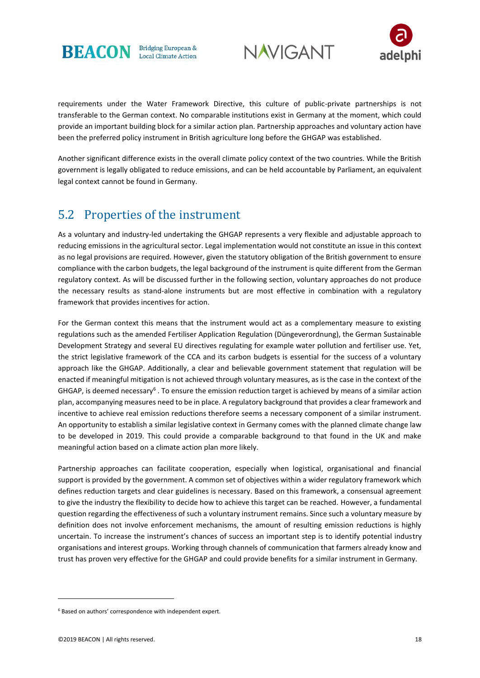





requirements under the Water Framework Directive, this culture of public-private partnerships is not transferable to the German context. No comparable institutions exist in Germany at the moment, which could provide an important building block for a similar action plan. Partnership approaches and voluntary action have been the preferred policy instrument in British agriculture long before the GHGAP was established.

Another significant difference exists in the overall climate policy context of the two countries. While the British government is legally obligated to reduce emissions, and can be held accountable by Parliament, an equivalent legal context cannot be found in Germany.

#### 5.2 Properties of the instrument

As a voluntary and industry-led undertaking the GHGAP represents a very flexible and adjustable approach to reducing emissions in the agricultural sector. Legal implementation would not constitute an issue in this context as no legal provisions are required. However, given the statutory obligation of the British government to ensure compliance with the carbon budgets, the legal background of the instrument is quite different from the German regulatory context. As will be discussed further in the following section, voluntary approaches do not produce the necessary results as stand-alone instruments but are most effective in combination with a regulatory framework that provides incentives for action.

For the German context this means that the instrument would act as a complementary measure to existing regulations such as the amended Fertiliser Application Regulation (Düngeverordnung), the German Sustainable Development Strategy and several EU directives regulating for example water pollution and fertiliser use. Yet, the strict legislative framework of the CCA and its carbon budgets is essential for the success of a voluntary approach like the GHGAP. Additionally, a clear and believable government statement that regulation will be enacted if meaningful mitigation is not achieved through voluntary measures, as is the case in the context of the GHGAP, is deemed necessary<sup>6</sup>. To ensure the emission reduction target is achieved by means of a similar action plan, accompanying measures need to be in place. A regulatory background that provides a clear framework and incentive to achieve real emission reductions therefore seems a necessary component of a similar instrument. An opportunity to establish a similar legislative context in Germany comes with the planned climate change law to be developed in 2019. This could provide a comparable background to that found in the UK and make meaningful action based on a climate action plan more likely.

Partnership approaches can facilitate cooperation, especially when logistical, organisational and financial support is provided by the government. A common set of objectives within a wider regulatory framework which defines reduction targets and clear guidelines is necessary. Based on this framework, a consensual agreement to give the industry the flexibility to decide how to achieve this target can be reached. However, a fundamental question regarding the effectiveness of such a voluntary instrument remains. Since such a voluntary measure by definition does not involve enforcement mechanisms, the amount of resulting emission reductions is highly uncertain. To increase the instrument's chances of success an important step is to identify potential industry organisations and interest groups. Working through channels of communication that farmers already know and trust has proven very effective for the GHGAP and could provide benefits for a similar instrument in Germany.

1

<sup>6</sup> Based on authors' correspondence with independent expert.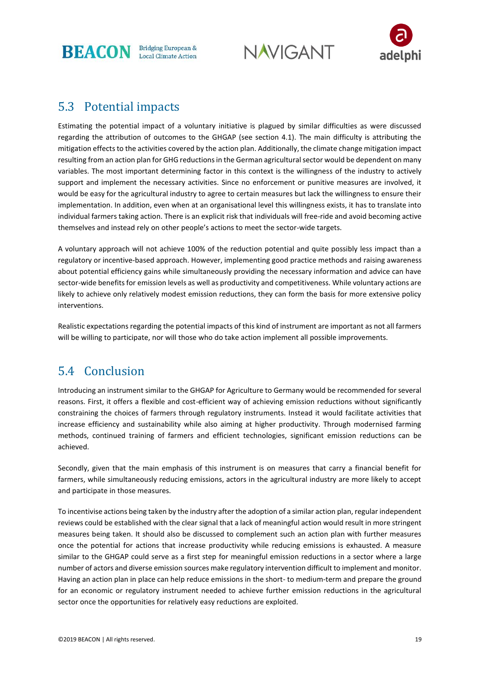**NAVIGANT** 



#### 5.3 Potential impacts

Estimating the potential impact of a voluntary initiative is plagued by similar difficulties as were discussed regarding the attribution of outcomes to the GHGAP (see section 4.1). The main difficulty is attributing the mitigation effects to the activities covered by the action plan. Additionally, the climate change mitigation impact resulting from an action plan for GHG reductions in the German agricultural sector would be dependent on many variables. The most important determining factor in this context is the willingness of the industry to actively support and implement the necessary activities. Since no enforcement or punitive measures are involved, it would be easy for the agricultural industry to agree to certain measures but lack the willingness to ensure their implementation. In addition, even when at an organisational level this willingness exists, it has to translate into individual farmers taking action. There is an explicit risk that individuals will free-ride and avoid becoming active themselves and instead rely on other people's actions to meet the sector-wide targets.

A voluntary approach will not achieve 100% of the reduction potential and quite possibly less impact than a regulatory or incentive-based approach. However, implementing good practice methods and raising awareness about potential efficiency gains while simultaneously providing the necessary information and advice can have sector-wide benefits for emission levels as well as productivity and competitiveness. While voluntary actions are likely to achieve only relatively modest emission reductions, they can form the basis for more extensive policy interventions.

Realistic expectations regarding the potential impacts of this kind of instrument are important as not all farmers will be willing to participate, nor will those who do take action implement all possible improvements.

### 5.4 Conclusion

Introducing an instrument similar to the GHGAP for Agriculture to Germany would be recommended for several reasons. First, it offers a flexible and cost-efficient way of achieving emission reductions without significantly constraining the choices of farmers through regulatory instruments. Instead it would facilitate activities that increase efficiency and sustainability while also aiming at higher productivity. Through modernised farming methods, continued training of farmers and efficient technologies, significant emission reductions can be achieved.

Secondly, given that the main emphasis of this instrument is on measures that carry a financial benefit for farmers, while simultaneously reducing emissions, actors in the agricultural industry are more likely to accept and participate in those measures.

To incentivise actions being taken by the industry after the adoption of a similar action plan, regular independent reviews could be established with the clear signal that a lack of meaningful action would result in more stringent measures being taken. It should also be discussed to complement such an action plan with further measures once the potential for actions that increase productivity while reducing emissions is exhausted. A measure similar to the GHGAP could serve as a first step for meaningful emission reductions in a sector where a large number of actors and diverse emission sources make regulatory intervention difficult to implement and monitor. Having an action plan in place can help reduce emissions in the short- to medium-term and prepare the ground for an economic or regulatory instrument needed to achieve further emission reductions in the agricultural sector once the opportunities for relatively easy reductions are exploited.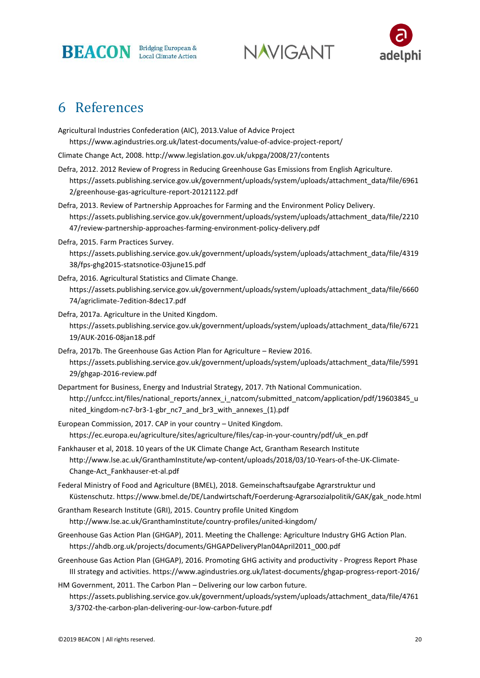

**NAVIGANT** 



### 6 References

Agricultural Industries Confederation (AIC), 2013.Value of Advice Project https://www.agindustries.org.uk/latest-documents/value-of-advice-project-report/

Climate Change Act, 2008. http://www.legislation.gov.uk/ukpga/2008/27/contents

Defra, 2012. 2012 Review of Progress in Reducing Greenhouse Gas Emissions from English Agriculture. https://assets.publishing.service.gov.uk/government/uploads/system/uploads/attachment\_data/file/6961 2/greenhouse-gas-agriculture-report-20121122.pdf

Defra, 2013. Review of Partnership Approaches for Farming and the Environment Policy Delivery. https://assets.publishing.service.gov.uk/government/uploads/system/uploads/attachment\_data/file/2210 47/review-partnership-approaches-farming-environment-policy-delivery.pdf

Defra, 2015. Farm Practices Survey.

https://assets.publishing.service.gov.uk/government/uploads/system/uploads/attachment\_data/file/4319 38/fps-ghg2015-statsnotice-03june15.pdf

- Defra, 2016. Agricultural Statistics and Climate Change. https://assets.publishing.service.gov.uk/government/uploads/system/uploads/attachment\_data/file/6660 74/agriclimate-7edition-8dec17.pdf
- Defra, 2017a. Agriculture in the United Kingdom. https://assets.publishing.service.gov.uk/government/uploads/system/uploads/attachment\_data/file/6721 19/AUK-2016-08jan18.pdf
- Defra, 2017b. The Greenhouse Gas Action Plan for Agriculture Review 2016. https://assets.publishing.service.gov.uk/government/uploads/system/uploads/attachment\_data/file/5991 29/ghgap-2016-review.pdf
- Department for Business, Energy and Industrial Strategy, 2017. 7th National Communication. http://unfccc.int/files/national\_reports/annex\_i\_natcom/submitted\_natcom/application/pdf/19603845\_u nited kingdom-nc7-br3-1-gbr\_nc7\_and\_br3\_with\_annexes\_(1).pdf
- European Commission, 2017. CAP in your country United Kingdom. https://ec.europa.eu/agriculture/sites/agriculture/files/cap-in-your-country/pdf/uk\_en.pdf
- Fankhauser et al, 2018. 10 years of the UK Climate Change Act, Grantham Research Institute http://www.lse.ac.uk/GranthamInstitute/wp-content/uploads/2018/03/10-Years-of-the-UK-Climate-Change-Act\_Fankhauser-et-al.pdf
- Federal Ministry of Food and Agriculture (BMEL), 2018. Gemeinschaftsaufgabe Agrarstruktur und Küstenschutz. https://www.bmel.de/DE/Landwirtschaft/Foerderung-Agrarsozialpolitik/GAK/gak\_node.html
- Grantham Research Institute (GRI), 2015. Country profile United Kingdom http://www.lse.ac.uk/GranthamInstitute/country-profiles/united-kingdom/
- Greenhouse Gas Action Plan (GHGAP), 2011. Meeting the Challenge: Agriculture Industry GHG Action Plan. https://ahdb.org.uk/projects/documents/GHGAPDeliveryPlan04April2011\_000.pdf
- Greenhouse Gas Action Plan (GHGAP), 2016. Promoting GHG activity and productivity Progress Report Phase III strategy and activities. https://www.agindustries.org.uk/latest-documents/ghgap-progress-report-2016/

HM Government, 2011. The Carbon Plan – Delivering our low carbon future. https://assets.publishing.service.gov.uk/government/uploads/system/uploads/attachment\_data/file/4761 3/3702-the-carbon-plan-delivering-our-low-carbon-future.pdf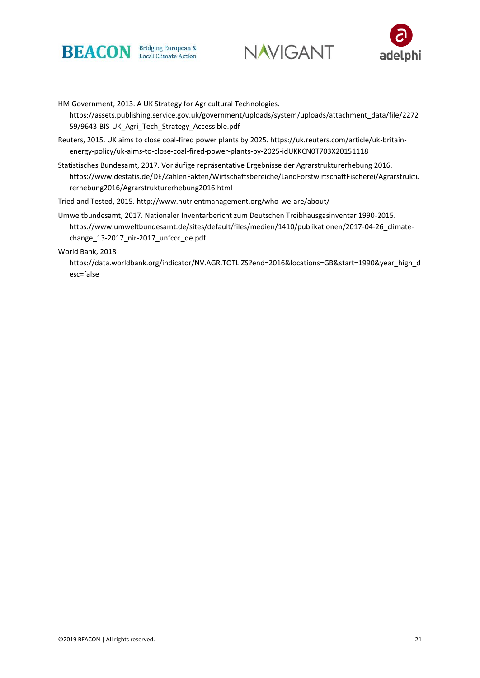





HM Government, 2013. A UK Strategy for Agricultural Technologies. https://assets.publishing.service.gov.uk/government/uploads/system/uploads/attachment\_data/file/2272 59/9643-BIS-UK\_Agri\_Tech\_Strategy\_Accessible.pdf

- Reuters, 2015. UK aims to close coal-fired power plants by 2025. https://uk.reuters.com/article/uk-britainenergy-policy/uk-aims-to-close-coal-fired-power-plants-by-2025-idUKKCN0T703X20151118
- Statistisches Bundesamt, 2017. Vorläufige repräsentative Ergebnisse der Agrarstrukturerhebung 2016. https://www.destatis.de/DE/ZahlenFakten/Wirtschaftsbereiche/LandForstwirtschaftFischerei/Agrarstruktu rerhebung2016/Agrarstrukturerhebung2016.html

Tried and Tested, 2015. http://www.nutrientmanagement.org/who-we-are/about/

Umweltbundesamt, 2017. Nationaler Inventarbericht zum Deutschen Treibhausgasinventar 1990-2015. https://www.umweltbundesamt.de/sites/default/files/medien/1410/publikationen/2017-04-26\_climatechange\_13-2017\_nir-2017\_unfccc\_de.pdf

World Bank, 2018

https://data.worldbank.org/indicator/NV.AGR.TOTL.ZS?end=2016&locations=GB&start=1990&year\_high\_d esc=false